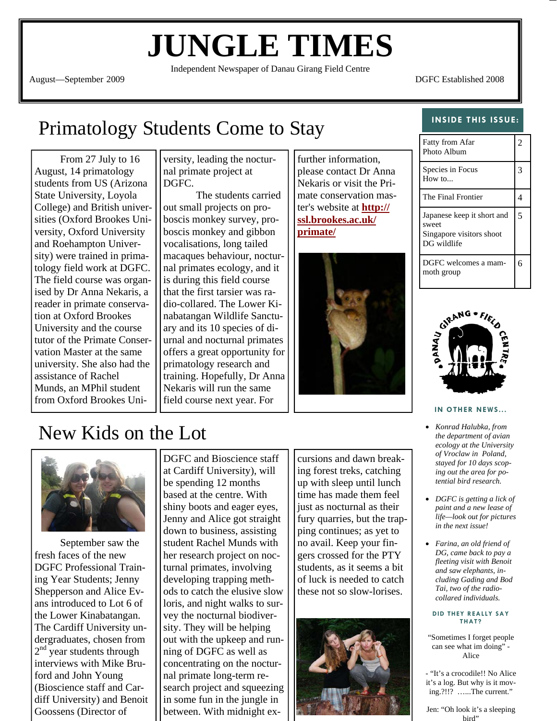# **JUNGLE TIMES**

Independent Newspaper of Danau Girang Field Centre

August-September 2009

DGFC Established 2008

# Primatology Students Come to Stay

 From 27 July to 16 August, 14 primatology students from US (Arizona State University, Loyola College) and British universities (Oxford Brookes University, Oxford University and Roehampton University) were trained in primatology field work at DGFC. The field course was organised by Dr Anna Nekaris, a reader in primate conservation at Oxford Brookes University and the course tutor of the Primate Conservation Master at the same university. She also had the assistance of Rachel Munds, an MPhil student from Oxford Brookes Uni-

versity, leading the nocturnal primate project at DGFC.

The students carried out small projects on proboscis monkey survey, proboscis monkey and gibbon vocalisations, long tailed macaques behaviour, nocturnal primates ecology, and it is during this field course that the first tarsier was radio-collared. The Lower Kinabatangan Wildlife Sanctuary and its 10 species of diurnal and nocturnal primates offers a great opportunity for primatology research and training. Hopefully, Dr Anna Nekaris will run the same field course next year. For

further information, please contact Dr Anna Nekaris or visit the Primate conservation master's website at **http:// ssl.brookes.ac.uk/ primate/** 



### **INSIDE THIS ISSUE:**

| <b>Fatty from Afar</b><br>Photo Album                                          |   |
|--------------------------------------------------------------------------------|---|
| Species in Focus<br>How to                                                     | 3 |
| The Final Frontier                                                             |   |
| Japanese keep it short and<br>sweet<br>Singapore visitors shoot<br>DG wildlife | 5 |
|                                                                                |   |



### **IN OTHER NEWS...**

- *Konrad Halubka, from the department of avian ecology at the University of Vroclaw in Poland, stayed for 10 days scoping out the area for potential bird research.*
- *DGFC is getting a lick of paint and a new lease of life—look out for pictures in the next issue!*
- *Farina, an old friend of DG, came back to pay a fleeting visit with Benoit and saw elephants, including Gading and Bod Tai, two of the radiocollared individuals.*

### **DID THEY REALLY SAY THAT?**

"Sometimes I forget people can see what im doing" - Alice

- "It's a crocodile!! No Alice it's a log. But why is it moving.?!!? …...The current."
- Jen: "Oh look it's a sleeping bird"

# New Kids on the Lot



September saw the fresh faces of the new DGFC Professional Training Year Students; Jenny Shepperson and Alice Evans introduced to Lot 6 of the Lower Kinabatangan. The Cardiff University undergraduates, chosen from  $2<sup>nd</sup>$  year students through interviews with Mike Bruford and John Young (Bioscience staff and Cardiff University) and Benoit Goossens (Director of

DGFC and Bioscience staff at Cardiff University), will be spending 12 months based at the centre. With shiny boots and eager eyes, Jenny and Alice got straight down to business, assisting student Rachel Munds with her research project on nocturnal primates, involving developing trapping methods to catch the elusive slow loris, and night walks to survey the nocturnal biodiversity. They will be helping out with the upkeep and running of DGFC as well as concentrating on the nocturnal primate long-term research project and squeezing in some fun in the jungle in between. With midnight ex-

cursions and dawn breaking forest treks, catching up with sleep until lunch time has made them feel just as nocturnal as their fury quarries, but the trapping continues; as yet to no avail. Keep your fingers crossed for the PTY students, as it seems a bit of luck is needed to catch these not so slow-lorises.

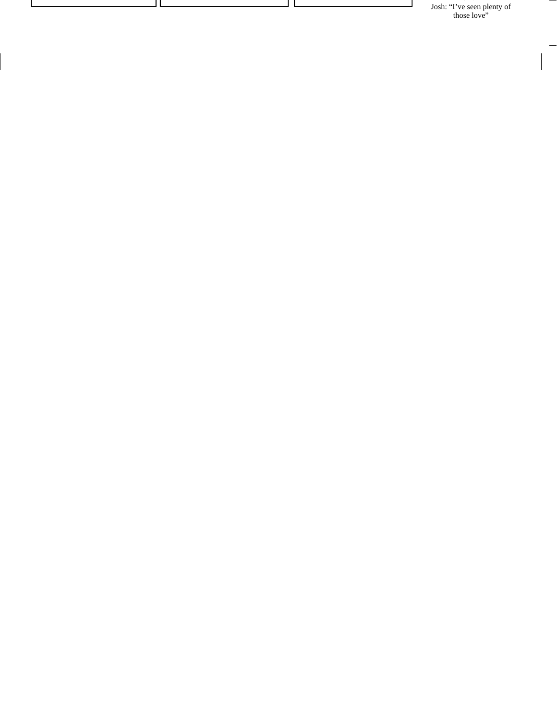|  | ----                                  |
|--|---------------------------------------|
|  | 66T<br>Josh:<br>$\mathbf{H}^T$<br>ററന |
|  | plenty of<br>contra represent         |
|  | those love                            |
|  |                                       |

Ξ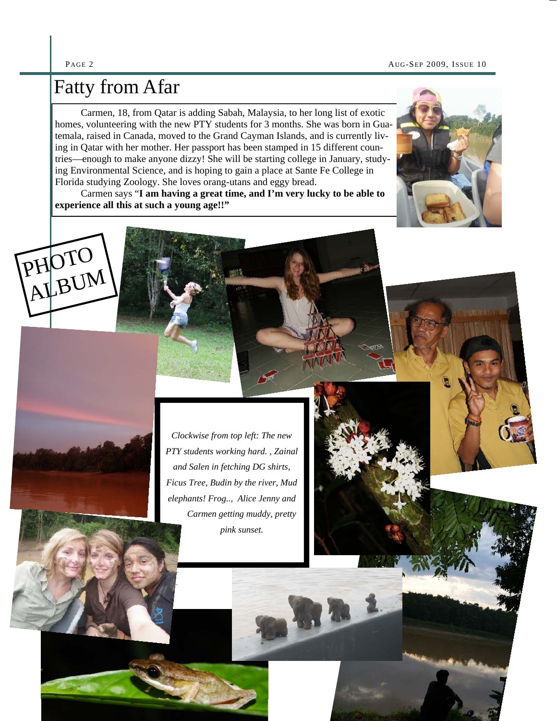### Fatty from Afar

 Carmen, 18, from Qatar is adding Sabah, Malaysia, to her long list of exotic homes, volunteering with the new PTY students for 3 months. She was born in Guatemala, raised in Canada, moved to the Grand Cayman Islands, and is currently living in Qatar with her mother. Her passport has been stamped in 15 different countries—enough to make anyone dizzy! She will be starting college in January, studying Environmental Science, and is hoping to gain a place at Sante Fe College in Florida studying Zoology. She loves orang-utans and eggy bread.

 Carmen says "**I am having a great time, and I'm very lucky to be able to experience all this at such a young age!!"**





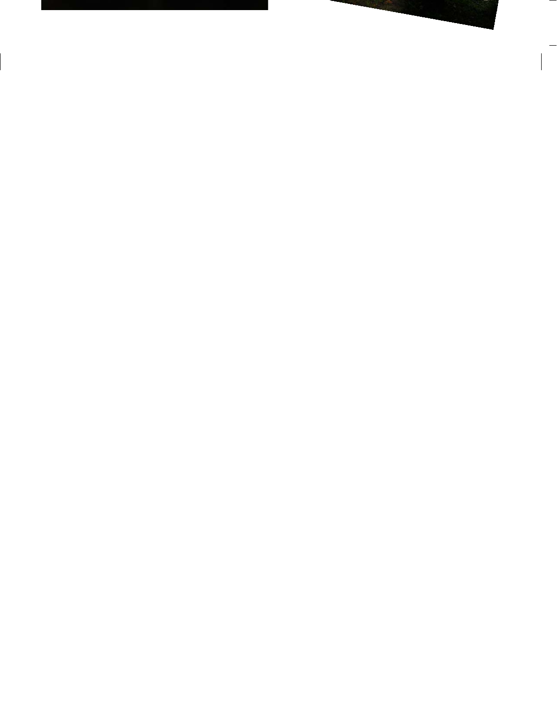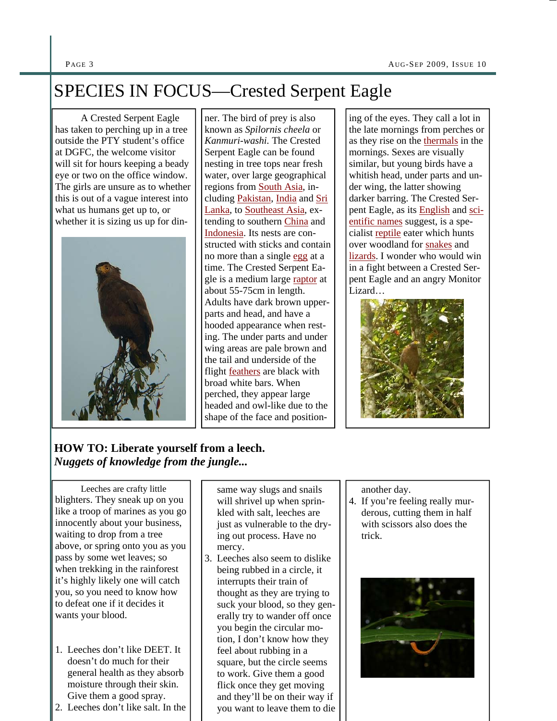# SPECIES IN FOCUS—Crested Serpent Eagle

A Crested Serpent Eagle has taken to perching up in a tree outside the PTY student's office at DGFC, the welcome visitor will sit for hours keeping a beady eye or two on the office window. The girls are unsure as to whether this is out of a vague interest into what us humans get up to, or whether it is sizing us up for din-



ner. The bird of prey is also known as *Spilornis cheela* or *Kanmuri-washi.* The Crested Serpent Eagle can be found nesting in tree tops near fresh water, over large geographical regions from South Asia, including Pakistan, India and Sri Lanka, to Southeast Asia, extending to southern China and Indonesia. Its nests are constructed with sticks and contain no more than a single egg at a time. The Crested Serpent Eagle is a medium large raptor at about 55-75cm in length. Adults have dark brown upperparts and head, and have a hooded appearance when resting. The under parts and under wing areas are pale brown and the tail and underside of the flight feathers are black with broad white bars. When perched, they appear large headed and owl-like due to the shape of the face and positioning of the eyes. They call a lot in the late mornings from perches or as they rise on the thermals in the mornings. Sexes are visually similar, but young birds have a whitish head, under parts and under wing, the latter showing darker barring. The Crested Serpent Eagle, as its English and scientific names suggest, is a specialist reptile eater which hunts over woodland for snakes and lizards. I wonder who would win in a fight between a Crested Serpent Eagle and an angry Monitor Lizard…



### **HOW TO: Liberate yourself from a leech.**  *Nuggets of knowledge from the jungle...*

Leeches are crafty little blighters. They sneak up on you like a troop of marines as you go innocently about your business, waiting to drop from a tree above, or spring onto you as you pass by some wet leaves; so when trekking in the rainforest it's highly likely one will catch you, so you need to know how to defeat one if it decides it wants your blood.

- 1. Leeches don't like DEET. It doesn't do much for their general health as they absorb moisture through their skin. Give them a good spray.
- 2. Leeches don't like salt. In the

same way slugs and snails will shrivel up when sprinkled with salt, leeches are just as vulnerable to the drying out process. Have no mercy.

3. Leeches also seem to dislike being rubbed in a circle, it interrupts their train of thought as they are trying to suck your blood, so they generally try to wander off once you begin the circular motion, I don't know how they feel about rubbing in a square, but the circle seems to work. Give them a good flick once they get moving and they'll be on their way if you want to leave them to die another day.

4. If you're feeling really murderous, cutting them in half with scissors also does the trick.

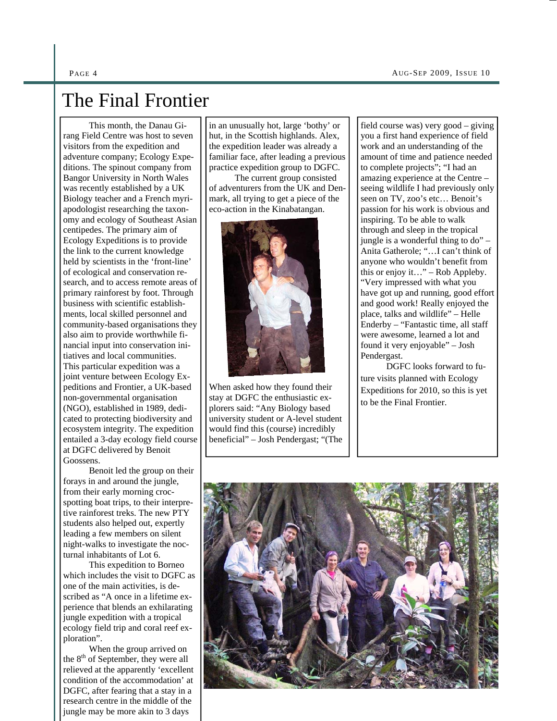# The Final Frontier

 This month, the Danau Girang Field Centre was host to seven visitors from the expedition and adventure company; Ecology Expeditions. The spinout company from Bangor University in North Wales was recently established by a UK Biology teacher and a French myriapodologist researching the taxonomy and ecology of Southeast Asian centipedes. The primary aim of Ecology Expeditions is to provide the link to the current knowledge held by scientists in the 'front-line' of ecological and conservation research, and to access remote areas of primary rainforest by foot. Through business with scientific establishments, local skilled personnel and community-based organisations they also aim to provide worthwhile financial input into conservation initiatives and local communities. This particular expedition was a joint venture between Ecology Expeditions and Frontier, a UK-based non-governmental organisation (NGO), established in 1989, dedicated to protecting biodiversity and ecosystem integrity. The expedition entailed a 3-day ecology field course at DGFC delivered by Benoit Goossens.

 Benoit led the group on their forays in and around the jungle, from their early morning crocspotting boat trips, to their interpretive rainforest treks. The new PTY students also helped out, expertly leading a few members on silent night-walks to investigate the nocturnal inhabitants of Lot 6.

 This expedition to Borneo which includes the visit to DGFC as one of the main activities, is described as "A once in a lifetime experience that blends an exhilarating jungle expedition with a tropical ecology field trip and coral reef exploration".

 When the group arrived on the 8<sup>th</sup> of September, they were all relieved at the apparently 'excellent condition of the accommodation' at DGFC, after fearing that a stay in a research centre in the middle of the jungle may be more akin to 3 days

in an unusually hot, large 'bothy' or hut, in the Scottish highlands. Alex, the expedition leader was already a familiar face, after leading a previous practice expedition group to DGFC.

 The current group consisted of adventurers from the UK and Denmark, all trying to get a piece of the eco-action in the Kinabatangan.



When asked how they found their stay at DGFC the enthusiastic explorers said: "Any Biology based university student or A-level student would find this (course) incredibly beneficial" – Josh Pendergast; "(The field course was) very good – giving you a first hand experience of field work and an understanding of the amount of time and patience needed to complete projects"; "I had an amazing experience at the Centre – seeing wildlife I had previously only seen on TV, zoo's etc… Benoit's passion for his work is obvious and inspiring. To be able to walk through and sleep in the tropical jungle is a wonderful thing to do" – Anita Gatherole; "…I can't think of anyone who wouldn't benefit from this or enjoy it…" – Rob Appleby. "Very impressed with what you have got up and running, good effort and good work! Really enjoyed the place, talks and wildlife" – Helle Enderby – "Fantastic time, all staff were awesome, learned a lot and found it very enjoyable" – Josh Pendergast.

 DGFC looks forward to future visits planned with Ecology Expeditions for 2010, so this is yet to be the Final Frontier.

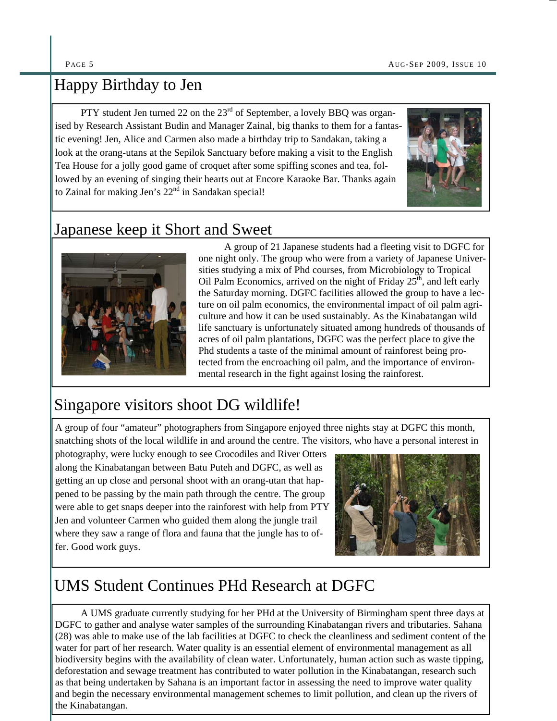### Happy Birthday to Jen

PTY student Jen turned 22 on the 23<sup>rd</sup> of September, a lovely BBQ was organised by Research Assistant Budin and Manager Zainal, big thanks to them for a fantastic evening! Jen, Alice and Carmen also made a birthday trip to Sandakan, taking a look at the orang-utans at the Sepilok Sanctuary before making a visit to the English Tea House for a jolly good game of croquet after some spiffing scones and tea, followed by an evening of singing their hearts out at Encore Karaoke Bar. Thanks again to Zainal for making Jen's  $22<sup>nd</sup>$  in Sandakan special!



### Japanese keep it Short and Sweet



 A group of 21 Japanese students had a fleeting visit to DGFC for one night only. The group who were from a variety of Japanese Universities studying a mix of Phd courses, from Microbiology to Tropical Oil Palm Economics, arrived on the night of Friday  $25<sup>th</sup>$ , and left early the Saturday morning. DGFC facilities allowed the group to have a lecture on oil palm economics, the environmental impact of oil palm agriculture and how it can be used sustainably. As the Kinabatangan wild life sanctuary is unfortunately situated among hundreds of thousands of acres of oil palm plantations, DGFC was the perfect place to give the Phd students a taste of the minimal amount of rainforest being protected from the encroaching oil palm, and the importance of environmental research in the fight against losing the rainforest.

# Singapore visitors shoot DG wildlife!

A group of four "amateur" photographers from Singapore enjoyed three nights stay at DGFC this month, snatching shots of the local wildlife in and around the centre. The visitors, who have a personal interest in

photography, were lucky enough to see Crocodiles and River Otters along the Kinabatangan between Batu Puteh and DGFC, as well as getting an up close and personal shoot with an orang-utan that happened to be passing by the main path through the centre. The group were able to get snaps deeper into the rainforest with help from PTY Jen and volunteer Carmen who guided them along the jungle trail where they saw a range of flora and fauna that the jungle has to offer. Good work guys.



# UMS Student Continues PHd Research at DGFC

A UMS graduate currently studying for her PHd at the University of Birmingham spent three days at DGFC to gather and analyse water samples of the surrounding Kinabatangan rivers and tributaries. Sahana (28) was able to make use of the lab facilities at DGFC to check the cleanliness and sediment content of the water for part of her research. Water quality is an essential element of environmental management as all biodiversity begins with the availability of clean water. Unfortunately, human action such as waste tipping, deforestation and sewage treatment has contributed to water pollution in the Kinabatangan, research such as that being undertaken by Sahana is an important factor in assessing the need to improve water quality and begin the necessary environmental management schemes to limit pollution, and clean up the rivers of the Kinabatangan.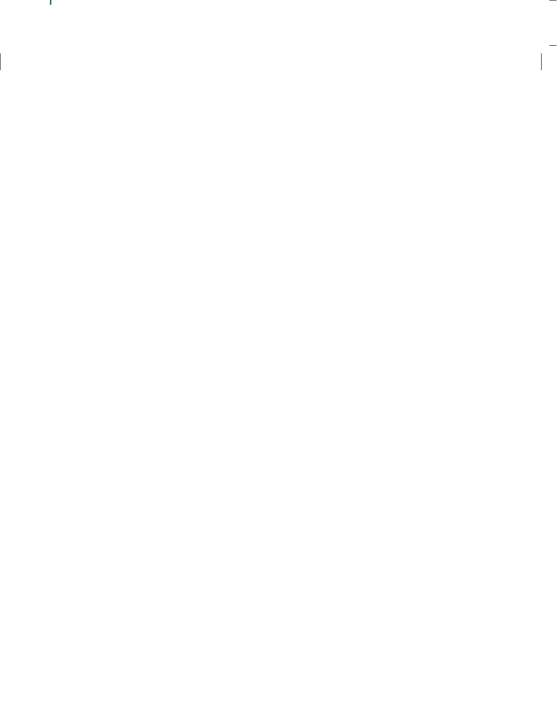ш